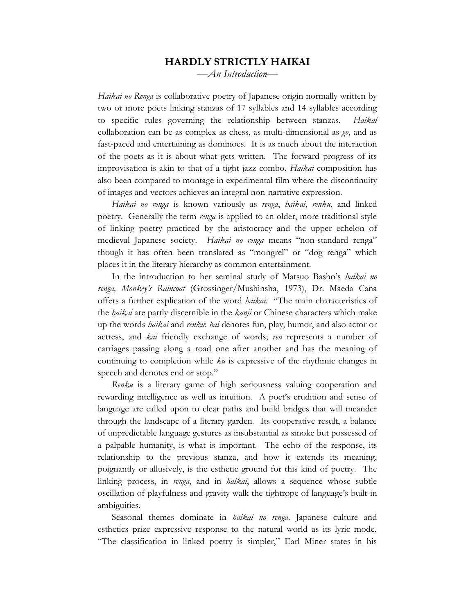## **HARDLY STRICTLY HAIKAI**

*—An Introduction—*

*Haikai no Renga* is collaborative poetry of Japanese origin normally written by two or more poets linking stanzas of 17 syllables and 14 syllables according to specific rules governing the relationship between stanzas. *Haikai* collaboration can be as complex as chess, as multi-dimensional as *go*, and as fast-paced and entertaining as dominoes. It is as much about the interaction of the poets as it is about what gets written. The forward progress of its improvisation is akin to that of a tight jazz combo. *Haikai* composition has also been compared to montage in experimental film where the discontinuity of images and vectors achieves an integral non-narrative expression.

*Haikai no renga* is known variously as *renga*, *haikai*, *renku*, and linked poetry. Generally the term *renga* is applied to an older, more traditional style of linking poetry practiced by the aristocracy and the upper echelon of medieval Japanese society. *Haikai no renga* means "non-standard renga" though it has often been translated as "mongrel" or "dog renga" which places it in the literary hierarchy as common entertainment.

In the introduction to her seminal study of Matsuo Basho's *haikai no renga, Monkey's Raincoat* (Grossinger/Mushinsha, 1973), Dr. Maeda Cana offers a further explication of the word *haikai*. "The main characteristics of the *haikai* are partly discernible in the *kanji* or Chinese characters which make up the words *haikai* and *renku*: *hai* denotes fun, play, humor, and also actor or actress, and *kai* friendly exchange of words; *ren* represents a number of carriages passing along a road one after another and has the meaning of continuing to completion while *ku* is expressive of the rhythmic changes in speech and denotes end or stop."

*Renku* is a literary game of high seriousness valuing cooperation and rewarding intelligence as well as intuition. A poet's erudition and sense of language are called upon to clear paths and build bridges that will meander through the landscape of a literary garden. Its cooperative result, a balance of unpredictable language gestures as insubstantial as smoke but possessed of a palpable humanity, is what is important. The echo of the response, its relationship to the previous stanza, and how it extends its meaning, poignantly or allusively, is the esthetic ground for this kind of poetry. The linking process, in *renga*, and in *haikai*, allows a sequence whose subtle oscillation of playfulness and gravity walk the tightrope of language's built-in ambiguities.

Seasonal themes dominate in *haikai no renga*. Japanese culture and esthetics prize expressive response to the natural world as its lyric mode. "The classification in linked poetry is simpler," Earl Miner states in his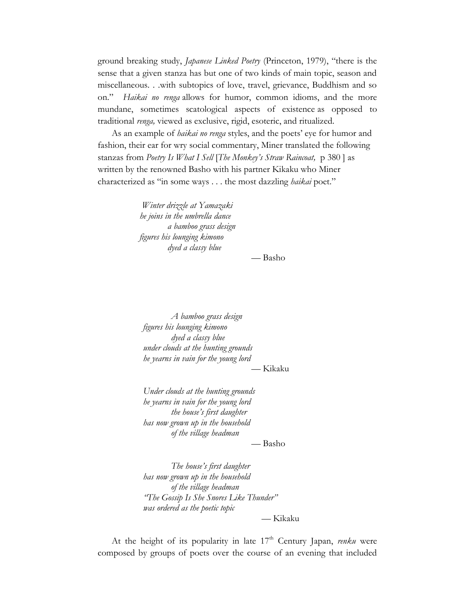ground breaking study, *Japanese Linked Poetry* (Princeton, 1979), "there is the sense that a given stanza has but one of two kinds of main topic, season and miscellaneous. . .with subtopics of love, travel, grievance, Buddhism and so on." *Haikai no renga* allows for humor, common idioms, and the more mundane, sometimes scatological aspects of existence as opposed to traditional *renga,* viewed as exclusive, rigid, esoteric, and ritualized.

As an example of *haikai no renga* styles, and the poets' eye for humor and fashion, their ear for wry social commentary, Miner translated the following stanzas from *Poetry Is What I Sell* [*The Monkey's Straw Raincoat,* p 380 ] as written by the renowned Basho with his partner Kikaku who Miner characterized as "in some ways . . . the most dazzling *haikai* poet."

> *Winter drizzle at Yamazaki he joins in the umbrella dance a bamboo grass design figures his lounging kimono dyed a classy blue*

> > — Basho

*A bamboo grass design figures his lounging kimono dyed a classy blue under clouds at the hunting grounds he yearns in vain for the young lord*

— Kikaku

*Under clouds at the hunting grounds he yearns in vain for the young lord the house's first daughter has now grown up in the household of the village headman*

— Basho

*The house's first daughter has now grown up in the household of the village headman "The Gossip Is She Snores Like Thunder" was ordered as the poetic topic*

— Kikaku

At the height of its popularity in late 17<sup>th</sup> Century Japan, *renku* were composed by groups of poets over the course of an evening that included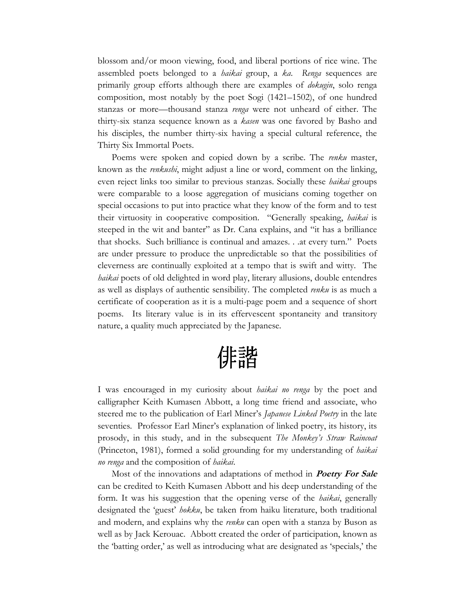blossom and/or moon viewing, food, and liberal portions of rice wine. The assembled poets belonged to a *haikai* group, a *ka*. *Renga* sequences are primarily group efforts although there are examples of *dokugin*, solo renga composition, most notably by the poet Sogi (1421–1502), of one hundred stanzas or more—thousand stanza *renga* were not unheard of either. The thirty-six stanza sequence known as a *kasen* was one favored by Basho and his disciples, the number thirty-six having a special cultural reference, the Thirty Six Immortal Poets.

Poems were spoken and copied down by a scribe. The *renku* master, known as the *renkushi*, might adjust a line or word, comment on the linking, even reject links too similar to previous stanzas. Socially these *haikai* groups were comparable to a loose aggregation of musicians coming together on special occasions to put into practice what they know of the form and to test their virtuosity in cooperative composition. "Generally speaking, *haikai* is steeped in the wit and banter" as Dr. Cana explains, and "it has a brilliance that shocks. Such brilliance is continual and amazes. . .at every turn." Poets are under pressure to produce the unpredictable so that the possibilities of cleverness are continually exploited at a tempo that is swift and witty. The *haikai* poets of old delighted in word play, literary allusions, double entendres as well as displays of authentic sensibility. The completed *renku* is as much a certificate of cooperation as it is a multi-page poem and a sequence of short poems. Its literary value is in its effervescent spontaneity and transitory nature, a quality much appreciated by the Japanese.

俳諧

I was encouraged in my curiosity about *haikai no renga* by the poet and calligrapher Keith Kumasen Abbott, a long time friend and associate, who steered me to the publication of Earl Miner's *Japanese Linked Poetry* in the late seventies*.* Professor Earl Miner's explanation of linked poetry, its history, its prosody, in this study, and in the subsequent *The Monkey's Straw Raincoat* (Princeton, 1981), formed a solid grounding for my understanding of *haikai no renga* and the composition of *haikai*.

Most of the innovations and adaptations of method in **Poetry For Sale** can be credited to Keith Kumasen Abbott and his deep understanding of the form. It was his suggestion that the opening verse of the *haikai*, generally designated the 'guest' *hokku*, be taken from haiku literature, both traditional and modern, and explains why the *renku* can open with a stanza by Buson as well as by Jack Kerouac. Abbott created the order of participation, known as the 'batting order,' as well as introducing what are designated as 'specials,' the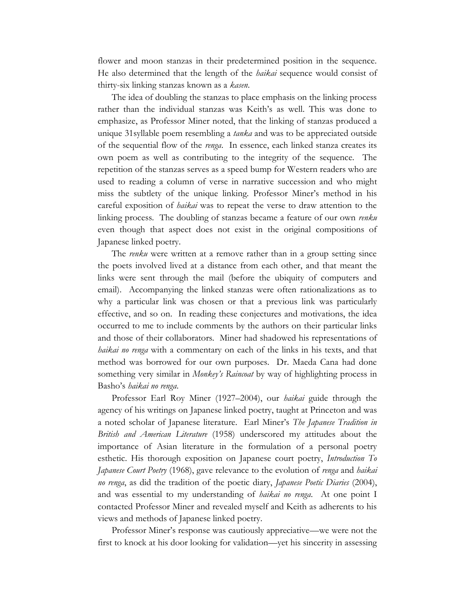flower and moon stanzas in their predetermined position in the sequence. He also determined that the length of the *haikai* sequence would consist of thirty-six linking stanzas known as a *kasen*.

The idea of doubling the stanzas to place emphasis on the linking process rather than the individual stanzas was Keith's as well. This was done to emphasize, as Professor Miner noted, that the linking of stanzas produced a unique 31syllable poem resembling a *tanka* and was to be appreciated outside of the sequential flow of the *renga*. In essence, each linked stanza creates its own poem as well as contributing to the integrity of the sequence. The repetition of the stanzas serves as a speed bump for Western readers who are used to reading a column of verse in narrative succession and who might miss the subtlety of the unique linking. Professor Miner's method in his careful exposition of *haikai* was to repeat the verse to draw attention to the linking process. The doubling of stanzas became a feature of our own *renku* even though that aspect does not exist in the original compositions of Japanese linked poetry.

The *renku* were written at a remove rather than in a group setting since the poets involved lived at a distance from each other, and that meant the links were sent through the mail (before the ubiquity of computers and email). Accompanying the linked stanzas were often rationalizations as to why a particular link was chosen or that a previous link was particularly effective, and so on. In reading these conjectures and motivations, the idea occurred to me to include comments by the authors on their particular links and those of their collaborators. Miner had shadowed his representations of *haikai no renga* with a commentary on each of the links in his texts, and that method was borrowed for our own purposes. Dr. Maeda Cana had done something very similar in *Monkey's Raincoat* by way of highlighting process in Basho's *haikai no renga*.

Professor Earl Roy Miner (1927–2004), our *haikai* guide through the agency of his writings on Japanese linked poetry, taught at Princeton and was a noted scholar of Japanese literature. Earl Miner's *The Japanese Tradition in British and American Literature* (1958) underscored my attitudes about the importance of Asian literature in the formulation of a personal poetry esthetic. His thorough exposition on Japanese court poetry, *Introduction To Japanese Court Poetry* (1968), gave relevance to the evolution of *renga* and *haikai no renga*, as did the tradition of the poetic diary, *Japanese Poetic Diaries* (2004), and was essential to my understanding of *haikai no renga*. At one point I contacted Professor Miner and revealed myself and Keith as adherents to his views and methods of Japanese linked poetry.

Professor Miner's response was cautiously appreciative—we were not the first to knock at his door looking for validation—yet his sincerity in assessing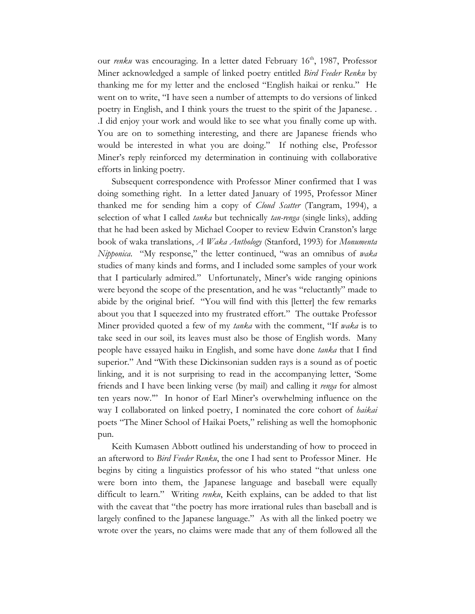our *renku* was encouraging. In a letter dated February 16<sup>th</sup>, 1987, Professor Miner acknowledged a sample of linked poetry entitled *Bird Feeder Renku* by thanking me for my letter and the enclosed "English haikai or renku." He went on to write, "I have seen a number of attempts to do versions of linked poetry in English, and I think yours the truest to the spirit of the Japanese. . .I did enjoy your work and would like to see what you finally come up with. You are on to something interesting, and there are Japanese friends who would be interested in what you are doing." If nothing else, Professor Miner's reply reinforced my determination in continuing with collaborative efforts in linking poetry.

 Subsequent correspondence with Professor Miner confirmed that I was doing something right. In a letter dated January of 1995, Professor Miner thanked me for sending him a copy of *Cloud Scatter* (Tangram, 1994), a selection of what I called *tanka* but technically *tan-renga* (single links), adding that he had been asked by Michael Cooper to review Edwin Cranston's large book of waka translations, *A Waka Anthology* (Stanford, 1993) for *Monumenta Nipponica*. "My response," the letter continued, "was an omnibus of *waka* studies of many kinds and forms, and I included some samples of your work that I particularly admired." Unfortunately, Miner's wide ranging opinions were beyond the scope of the presentation, and he was "reluctantly" made to abide by the original brief. "You will find with this [letter] the few remarks about you that I squeezed into my frustrated effort." The outtake Professor Miner provided quoted a few of my *tanka* with the comment, "If *waka* is to take seed in our soil, its leaves must also be those of English words. Many people have essayed haiku in English, and some have done *tanka* that I find superior." And "With these Dickinsonian sudden rays is a sound as of poetic linking, and it is not surprising to read in the accompanying letter, 'Some friends and I have been linking verse (by mail) and calling it *renga* for almost ten years now.'" In honor of Earl Miner's overwhelming influence on the way I collaborated on linked poetry, I nominated the core cohort of *haikai* poets "The Miner School of Haikai Poets," relishing as well the homophonic pun.

Keith Kumasen Abbott outlined his understanding of how to proceed in an afterword to *Bird Feeder Renku*, the one I had sent to Professor Miner. He begins by citing a linguistics professor of his who stated "that unless one were born into them, the Japanese language and baseball were equally difficult to learn." Writing *renku*, Keith explains, can be added to that list with the caveat that "the poetry has more irrational rules than baseball and is largely confined to the Japanese language." As with all the linked poetry we wrote over the years, no claims were made that any of them followed all the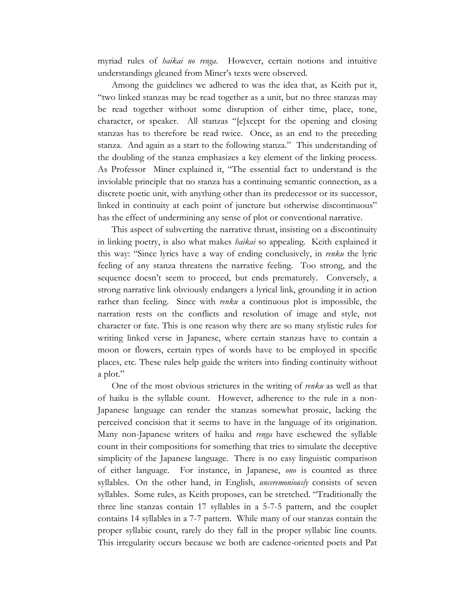myriad rules of *haikai no renga*. However, certain notions and intuitive understandings gleaned from Miner's texts were observed.

Among the guidelines we adhered to was the idea that, as Keith put it, "two linked stanzas may be read together as a unit, but no three stanzas may be read together without some disruption of either time, place, tone, character, or speaker. All stanzas "[e]xcept for the opening and closing stanzas has to therefore be read twice. Once, as an end to the preceding stanza. And again as a start to the following stanza." This understanding of the doubling of the stanza emphasizes a key element of the linking process. As Professor Miner explained it, "The essential fact to understand is the inviolable principle that no stanza has a continuing semantic connection, as a discrete poetic unit, with anything other than its predecessor or its successor, linked in continuity at each point of juncture but otherwise discontinuous" has the effect of undermining any sense of plot or conventional narrative.

This aspect of subverting the narrative thrust, insisting on a discontinuity in linking poetry, is also what makes *haikai* so appealing. Keith explained it this way: "Since lyrics have a way of ending conclusively, in *renku* the lyric feeling of any stanza threatens the narrative feeling. Too strong, and the sequence doesn't seem to proceed, but ends prematurely. Conversely, a strong narrative link obviously endangers a lyrical link, grounding it in action rather than feeling. Since with *renku* a continuous plot is impossible, the narration rests on the conflicts and resolution of image and style, not character or fate. This is one reason why there are so many stylistic rules for writing linked verse in Japanese, where certain stanzas have to contain a moon or flowers, certain types of words have to be employed in specific places, etc. These rules help guide the writers into finding continuity without a plot."

One of the most obvious strictures in the writing of *renku* as well as that of haiku is the syllable count. However, adherence to the rule in a non-Japanese language can render the stanzas somewhat prosaic, lacking the perceived concision that it seems to have in the language of its origination. Many non-Japanese writers of haiku and *renga* have eschewed the syllable count in their compositions for something that tries to simulate the deceptive simplicity of the Japanese language. There is no easy linguistic comparison of either language. For instance, in Japanese, *ono* is counted as three syllables. On the other hand, in English, *unceremoniously* consists of seven syllables. Some rules, as Keith proposes, can be stretched. "Traditionally the three line stanzas contain 17 syllables in a 5-7-5 pattern, and the couplet contains 14 syllables in a 7-7 pattern. While many of our stanzas contain the proper syllabic count, rarely do they fall in the proper syllabic line counts. This irregularity occurs because we both are cadence-oriented poets and Pat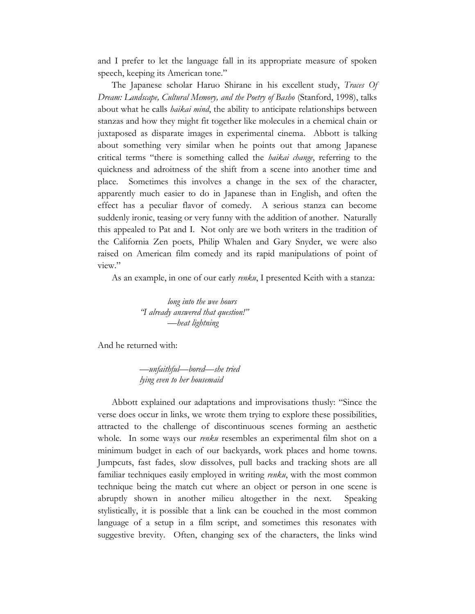and I prefer to let the language fall in its appropriate measure of spoken speech, keeping its American tone."

The Japanese scholar Haruo Shirane in his excellent study, *Traces Of Dream: Landscape, Cultural Memory, and the Poetry of Basho* (Stanford, 1998), talks about what he calls *haikai mind*, the ability to anticipate relationships between stanzas and how they might fit together like molecules in a chemical chain or juxtaposed as disparate images in experimental cinema. Abbott is talking about something very similar when he points out that among Japanese critical terms "there is something called the *haikai change*, referring to the quickness and adroitness of the shift from a scene into another time and place. Sometimes this involves a change in the sex of the character, apparently much easier to do in Japanese than in English, and often the effect has a peculiar flavor of comedy. A serious stanza can become suddenly ironic, teasing or very funny with the addition of another. Naturally this appealed to Pat and I. Not only are we both writers in the tradition of the California Zen poets, Philip Whalen and Gary Snyder, we were also raised on American film comedy and its rapid manipulations of point of view."

As an example, in one of our early *renku*, I presented Keith with a stanza:

*long into the wee hours "I already answered that question!" —heat lightning*

And he returned with:

*—unfaithful—bored—she tried lying even to her housemaid* 

Abbott explained our adaptations and improvisations thusly: "Since the verse does occur in links, we wrote them trying to explore these possibilities, attracted to the challenge of discontinuous scenes forming an aesthetic whole. In some ways our *renku* resembles an experimental film shot on a minimum budget in each of our backyards, work places and home towns. Jumpcuts, fast fades, slow dissolves, pull backs and tracking shots are all familiar techniques easily employed in writing *renku*, with the most common technique being the match cut where an object or person in one scene is abruptly shown in another milieu altogether in the next. Speaking stylistically, it is possible that a link can be couched in the most common language of a setup in a film script, and sometimes this resonates with suggestive brevity. Often, changing sex of the characters, the links wind